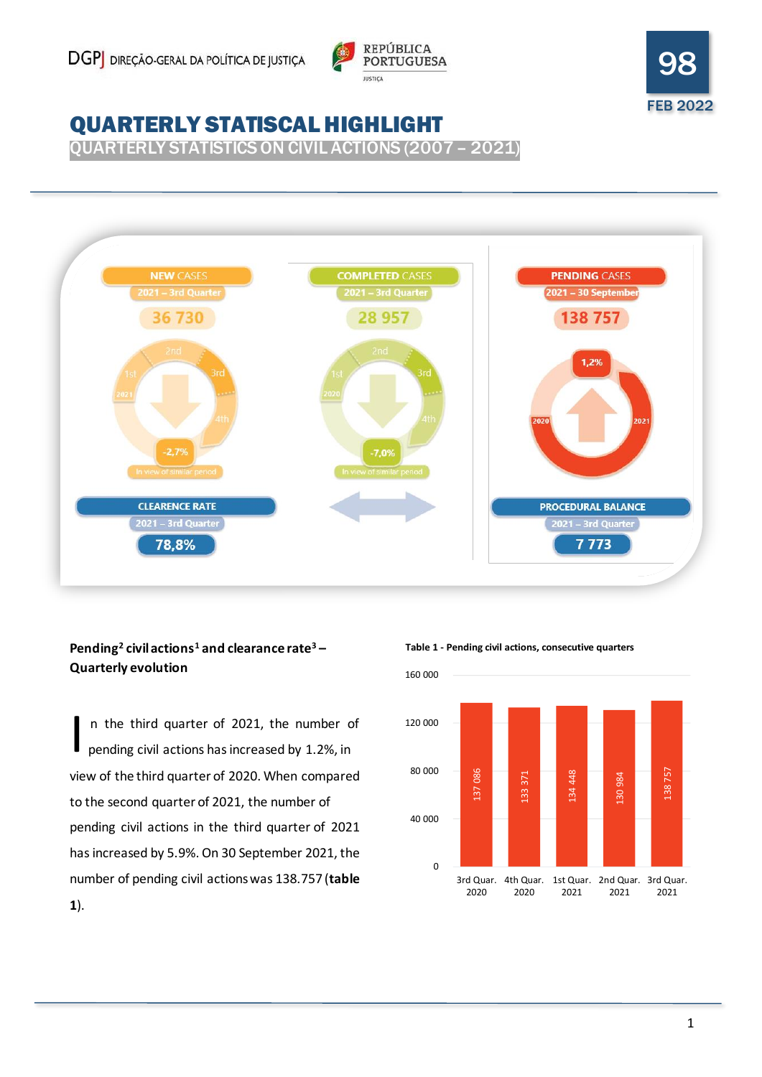



# QUARTERLY STATISCAL HIGHLIGHT

QUARTERLY STATISTICS ON CIVIL ACTIONS (2007 – 2021)



## **Pending<sup>2</sup> civil actions<sup>1</sup> and clearance rate<sup>3</sup> – Quarterly evolution**

 n the third quarter of 2021, the number of pending civil actions has increased by 1.2%, in view of the third quarter of 2020. When compared to the second quarter of 2021, the number of pending civil actions in the third quarter of 2021 has increased by 5.9%. On 30 September 2021, the number of pending civil actions was 138.757 (**table 1**). I

**Table 1 - Pending civil actions, consecutive quarters**

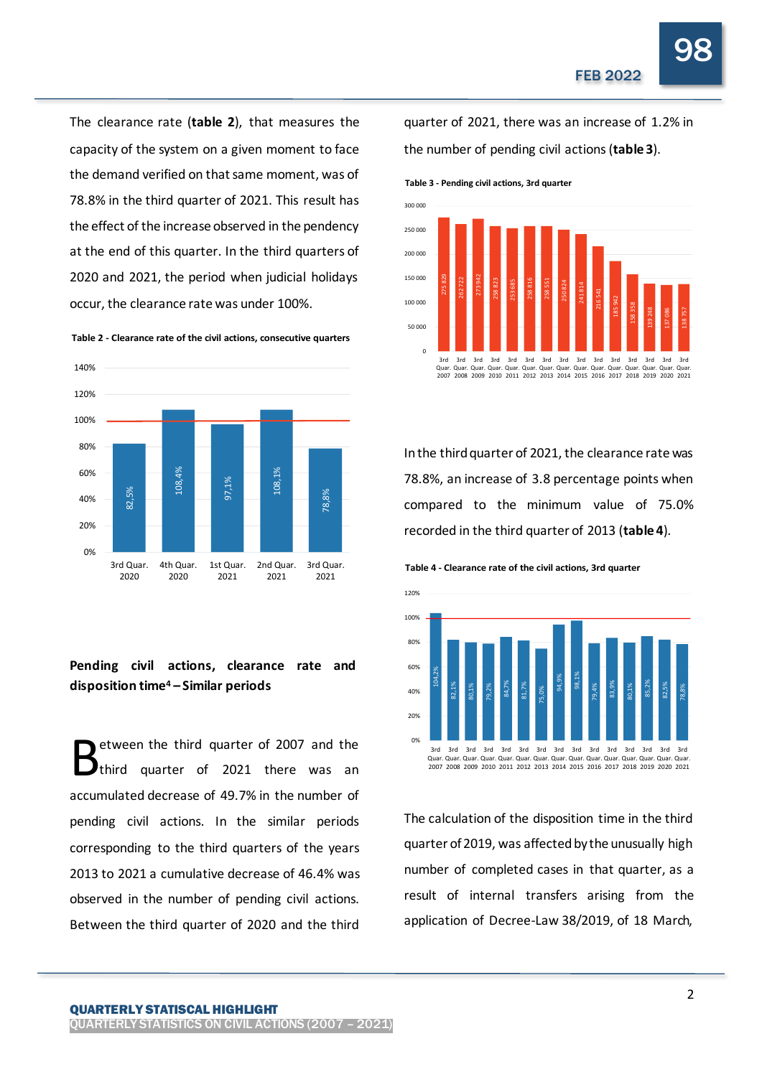98

The clearance rate (**table 2**), that measures the capacity of the system on a given moment to face the demand verified on that same moment, was of 78.8% in the third quarter of 2021. This result has the effect of the increase observed in the pendency at the end of this quarter. In the third quarters of 2020 and 2021, the period when judicial holidays occur, the clearance rate was under 100%. Table 3 - Pending civil actions, 3rd quarter<br>
Table 3 - Pending civil actions, 3rd quarter<br>
the effect of the increase observed in the pendency<br>
at the end of this quarter. In the third quarters of<br>
2020 and 2021, the peri



## **Pending civil actions, clearance rate and disposition time<sup>4</sup> – Similar periods**

etween the third quarter of 2007 and the third quarter of 2021 there was an accumulated decrease of 49.7% in the number of pending civil actions. In the similar periods corresponding to the third quarters of the years 2013 to 2021 a cumulative decrease of 46.4% was observed in the number of pending civil actions. Between the third quarter of 2020 and the third B

quarter of 2021, there was an increase of 1.2% in the number of pending civil actions (**table 3**).



In the third quarter of 2021, the clearance rate was 78.8%, an increase of 3.8 percentage points when compared to the minimum value of 75.0% recorded in the third quarter of 2013 (**table 4**).

**Table 4 - Clearance rate of the civil actions, 3rd quarter**



The calculation of the disposition time in the third quarter of 2019, was affected by the unusually high number of completed cases in that quarter, as a result of internal transfers arising from the application of Decree-Law 38/2019, of 18 March,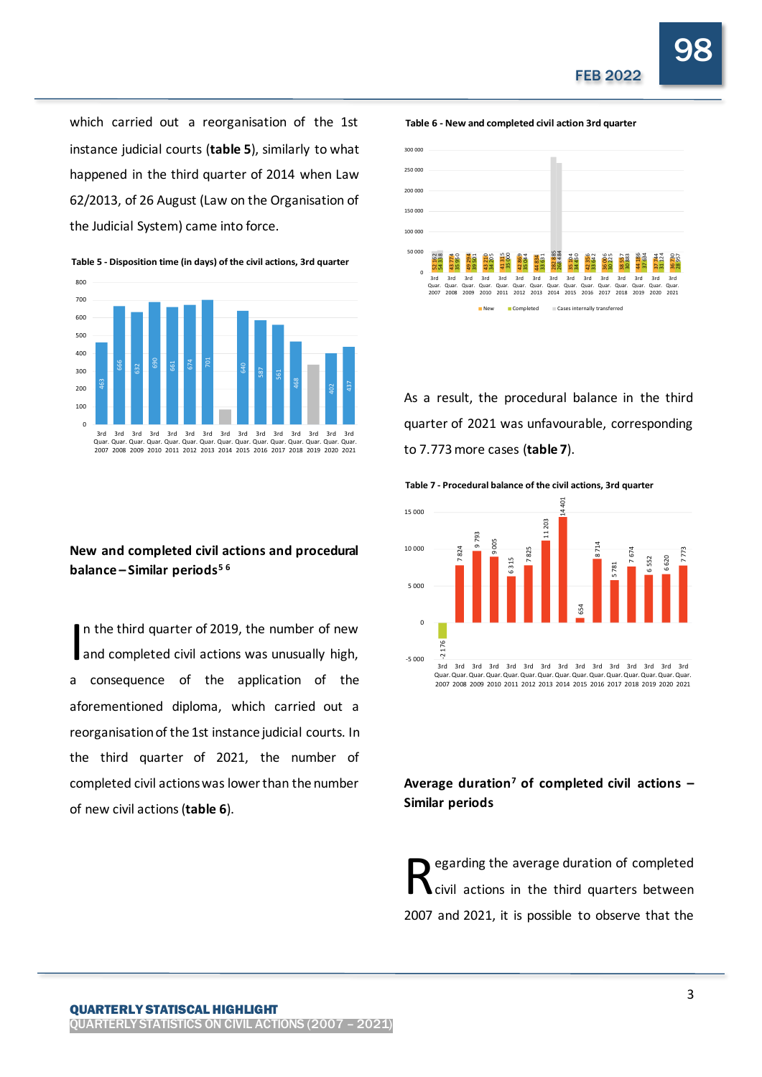98

which carried out a reorganisation of the 1st instance judicial courts (**table 5**), similarly to what happened in the third quarter of 2014 when Law 62/2013, of 26 August (Law on the Organisation of the Judicial System) came into force.



### **New and completed civil actions and procedural balance – Similar periods<sup>5</sup> <sup>6</sup>**

n the third quarter of 2019, the number of new and completed civil actions was unusually high, a consequence of the application of the aforementioned diploma, which carried out a reorganisation of the 1st instance judicial courts. In the third quarter of 2021, the number of completed civil actions was lower than the number of new civil actions (**table 6**). I As a quarter of  $\frac{1}{2}$  and  $\frac{1}{2}$  and  $\frac{1}{2}$  and  $\frac{1}{2}$  and  $\frac{1}{2}$  and  $\frac{1}{2}$  and  $\frac{1}{2}$  and  $\frac{1}{2}$  and  $\frac{1}{2}$  and  $\frac{1}{2}$  and  $\frac{1}{2}$  and  $\frac{1}{2}$  and  $\frac{1}{2}$  and  $\frac{1}{2}$  and  $\frac{1}{2}$ 



As a result, the procedural balance in the third quarter of 2021 was unfavourable, corresponding to 7.773 more cases (**table 7**).

**Table 7 - Procedural balance of the civil actions, 3rd quarter**



**Average duration<sup>7</sup> of completed civil actions – Similar periods**

egarding the average duration of completed civil actions in the third quarters between 2007 and 2021, it is possible to observe that the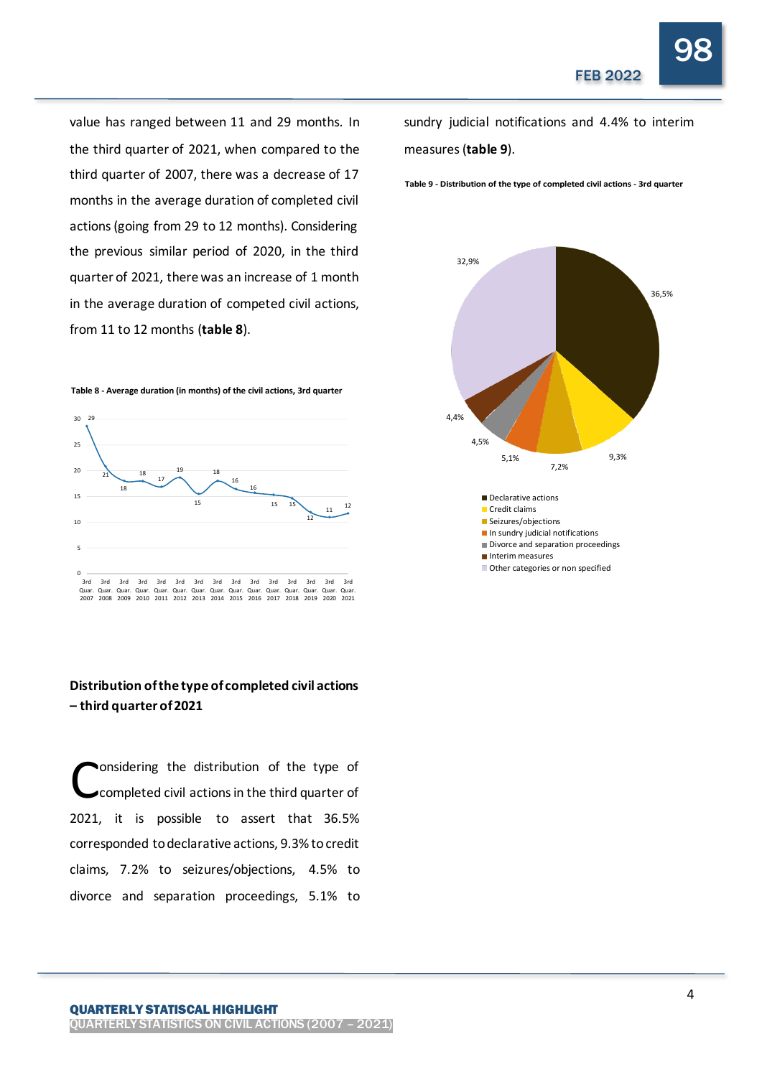98

value has ranged between 11 and 29 months. In the third quarter of 2021, when compared to the third quarter of 2007, there was a decrease of 17 months in the average duration of completed civil actions (going from 29 to 12 months). Considering the previous similar period of 2020, in the third quarter of 2021, there was an increase of 1 month in the average duration of competed civil actions, from 11 to 12 months (**table 8**).



#### **Distribution of the type of completed civil actions – third quarter of 2021**

onsidering the distribution of the type of completed civil actions in the third quarter of 2021, it is possible to assert that 36.5% corresponded to declarative actions, 9.3% to credit claims, 7.2% to seizures/objections, 4.5% to divorce and separation proceedings, 5.1% to C

QUARTERLY STATISCAL HIGHLIGHT QUARTERLY STATISTICS ON CIVIL ACTIONS (2007 – 2021) sundry judicial notifications and 4.4% to interim measures (**table 9**).

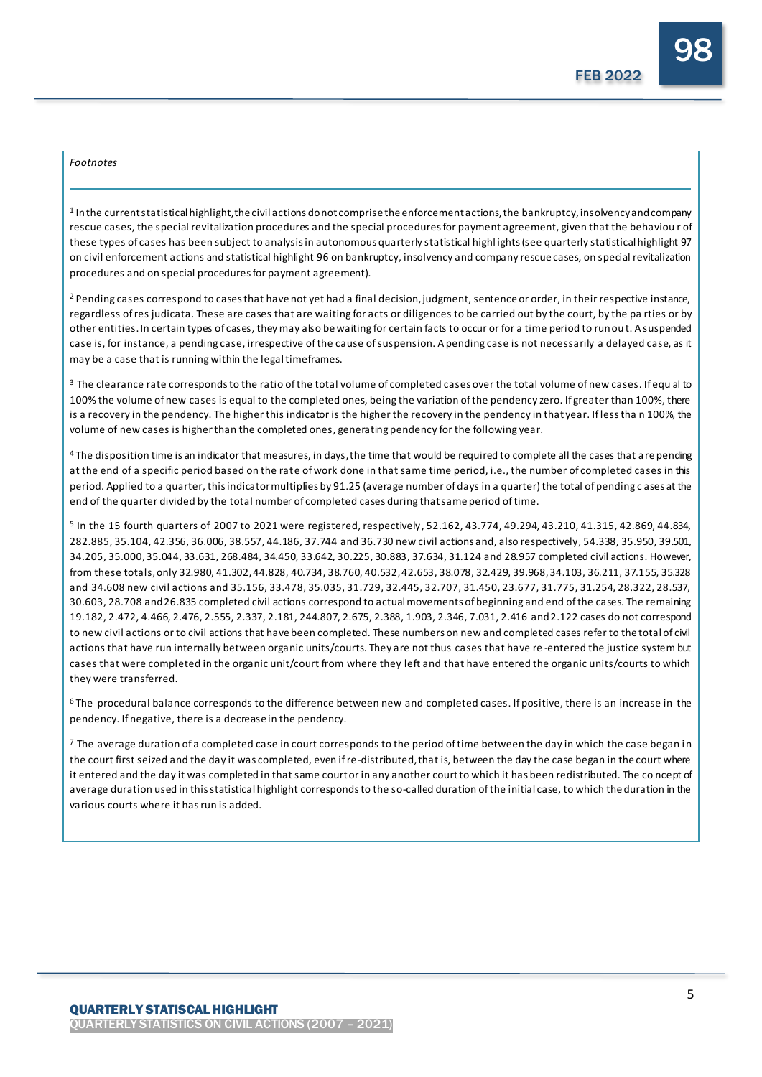#### *Footnotes*

 $1$  In the current statistical highlight, the civil actions do not comprise the enforcement actions, the bankruptcy, insolvency and company rescue cases, the special revitalization procedures and the special procedures for payment agreement, given that the behaviou r of these types of cases has been subject to analysis in autonomous quarterly statistical highlights (see quarterly statistical highlight 97 on civil enforcement actions and statistical highlight 96 on bankruptcy, insolvency and company rescue cases, on special revitalization procedures and on special procedures for payment agreement).

<sup>2</sup> Pending cases correspond to cases that have not yet had a final decision, judgment, sentence or order, in their respective instance, regardless of res judicata. These are cases that are waiting for acts or diligences to be carried out by the court, by the pa rties or by other entities. In certain types of cases, they may also be waiting for certain facts to occur or for a time period to run ou t. A suspended case is, for instance, a pending case, irrespective of the cause of suspension. A pending case is not necessarily a delayed case, as it may be a case that is running within the legal timeframes.

<sup>3</sup> The clearance rate corresponds to the ratio of the total volume of completed cases over the total volume of new cases. If equal to 100% the volume of new cases is equal to the completed ones, being the variation of the pendency zero. If greater than 100%, there is a recovery in the pendency. The higher this indicator is the higher the recovery in the pendency in that year. If less tha n 100%, the volume of new cases is higherthan the completed ones, generating pendency for the following year.

4 The disposition time is an indicator that measures, in days, the time that would be required to complete all the cases that are pending at the end of a specific period based on the rate of work done in that same time period, i.e., the number of completed cases in this period. Applied to a quarter, this indicator multiplies by 91.25 (average number of days in a quarter) the total of pending c ases at the end of the quarter divided by the total number of completed cases during that same period of time.

<sup>5</sup> In the 15 fourth quarters of 2007 to 2021 were registered, respectively, 52.162, 43.774, 49.294, 43.210, 41.315, 42.869, 44.834, 282.885, 35.104, 42.356, 36.006, 38.557, 44.186, 37.744 and 36.730 new civil actions and, also respectively, 54.338, 35.950, 39.501, 34.205, 35.000, 35.044, 33.631, 268.484, 34.450, 33.642, 30.225, 30.883, 37.634, 31.124 and 28.957 completed civil actions. However, from these totals, only 32.980, 41.302, 44.828, 40.734, 38.760, 40.532, 42.653, 38.078, 32.429, 39.968, 34.103, 36.211, 37.155, 35.328 and 34.608 new civil actions and 35.156, 33.478, 35.035, 31.729, 32.445, 32.707, 31.450, 23.677, 31.775, 31.254, 28.322, 28.537, 30.603, 28.708 and26.835 completed civil actions correspond to actual movements of beginning and end of the cases. The remaining 19.182, 2.472, 4.466, 2.476, 2.555, 2.337, 2.181, 244.807, 2.675, 2.388, 1.903, 2.346, 7.031, 2.416 and2.122 cases do not correspond to new civil actions or to civil actions that have been completed. These numbers on new and completed cases refer to the total of civil actions that have run internally between organic units/courts. They are not thus cases that have re -entered the justice system but cases that were completed in the organic unit/court from where they left and that have entered the organic units/courts to which they were transferred.

<sup>6</sup>The procedural balance corresponds to the difference between new and completed cases. If positive, there is an increase in the pendency. If negative, there is a decrease in the pendency.

 $7$  The average duration of a completed case in court corresponds to the period of time between the day in which the case began in the court first seized and the day it was completed, even if re -distributed, that is, between the day the case began in the court where it entered and the day it was completed in that same court or in any another court to which it has been redistributed. The co ncept of average duration used in this statistical highlight corresponds to the so-called duration of the initial case, to which the duration in the various courts where it has run is added.